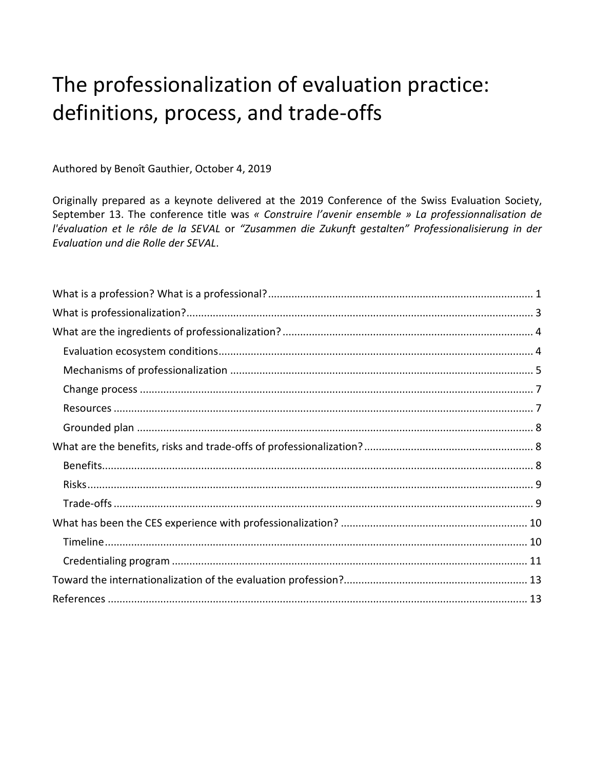# The professionalization of evaluation practice: definitions, process, and trade-offs

Authored by Benoît Gauthier, October 4, 2019

Originally prepared as a keynote delivered at the 2019 Conference of the Swiss Evaluation Society, September 13. The conference title was « Construire l'avenir ensemble » La professionnalisation de l'évaluation et le rôle de la SEVAL or "Zusammen die Zukunft gestalten" Professionalisierung in der Evaluation und die Rolle der SEVAL.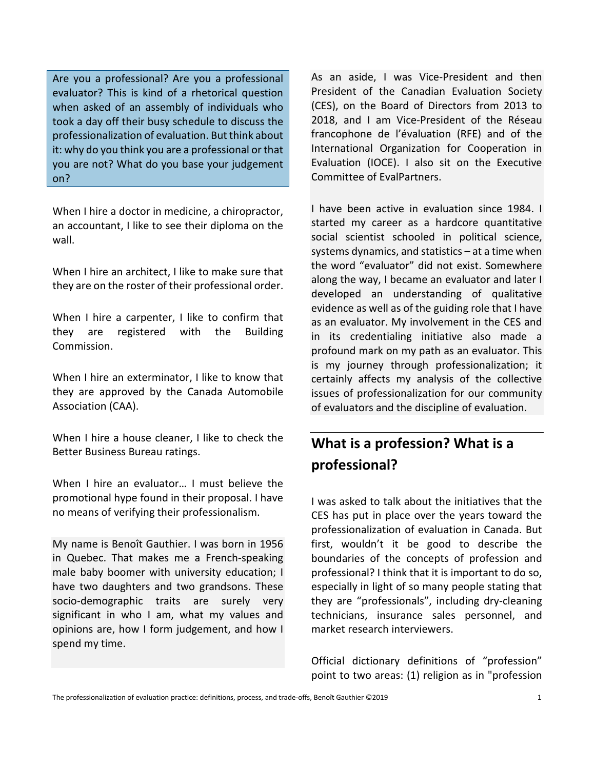Are you a professional? Are you a professional evaluator? This is kind of a rhetorical question when asked of an assembly of individuals who took a day off their busy schedule to discuss the professionalization of evaluation. But think about it: why do you think you are a professional or that you are not? What do you base your judgement on?

When I hire a doctor in medicine, a chiropractor, an accountant, I like to see their diploma on the wall.

When I hire an architect, I like to make sure that they are on the roster of their professional order.

When I hire a carpenter, I like to confirm that they are registered with the Building Commission.

When I hire an exterminator, I like to know that they are approved by the Canada Automobile Association (CAA).

When I hire a house cleaner, I like to check the Better Business Bureau ratings.

When I hire an evaluator... I must believe the promotional hype found in their proposal. I have no means of verifying their professionalism.

My name is Benoît Gauthier. I was born in 1956 in Quebec. That makes me a French-speaking male baby boomer with university education; I have two daughters and two grandsons. These socio-demographic traits are surely very significant in who I am, what my values and opinions are, how I form judgement, and how I spend my time.

As an aside, I was Vice-President and then President of the Canadian Evaluation Society (CES), on the Board of Directors from 2013 to 2018, and I am Vice-President of the Réseau francophone de l'évaluation (RFE) and of the International Organization for Cooperation in Evaluation (IOCE). I also sit on the Executive Committee of EvalPartners.

I have been active in evaluation since 1984. I started my career as a hardcore quantitative social scientist schooled in political science, systems dynamics, and statistics – at a time when the word "evaluator" did not exist. Somewhere along the way, I became an evaluator and later I developed an understanding of qualitative evidence as well as of the guiding role that I have as an evaluator. My involvement in the CES and in its credentialing initiative also made a profound mark on my path as an evaluator. This is my journey through professionalization; it certainly affects my analysis of the collective issues of professionalization for our community of evaluators and the discipline of evaluation.

### **What is a profession? What is a professional?**

I was asked to talk about the initiatives that the CES has put in place over the years toward the professionalization of evaluation in Canada. But first, wouldn't it be good to describe the boundaries of the concepts of profession and professional? I think that it is important to do so, especially in light of so many people stating that they are "professionals", including dry-cleaning technicians, insurance sales personnel, and market research interviewers.

Official dictionary definitions of "profession" point to two areas: (1) religion as in "profession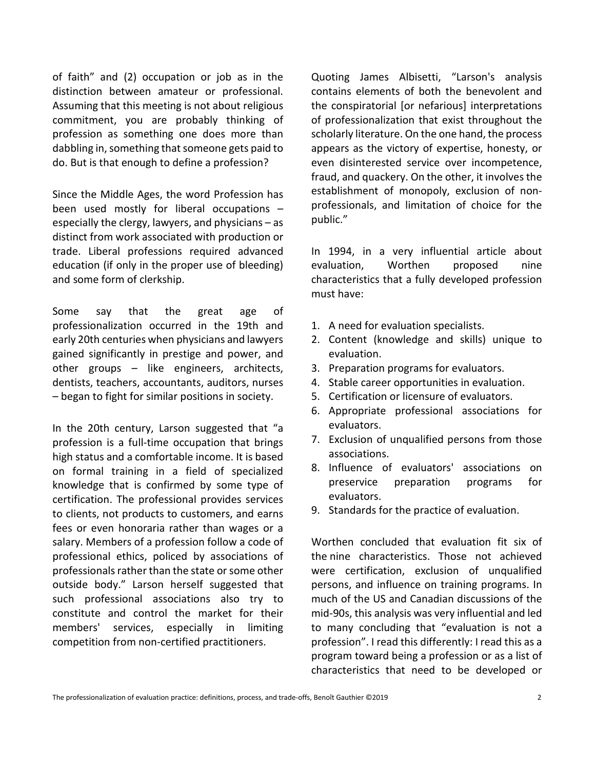of faith" and (2) occupation or job as in the distinction between amateur or professional. Assuming that this meeting is not about religious commitment, you are probably thinking of profession as something one does more than dabbling in, something that someone gets paid to do. But is that enough to define a profession?

Since the Middle Ages, the word Profession has been used mostly for liberal occupations – especially the clergy, lawyers, and physicians – as distinct from work associated with production or trade. Liberal professions required advanced education (if only in the proper use of bleeding) and some form of clerkship.

Some say that the great age of professionalization occurred in the 19th and early 20th centuries when physicians and lawyers gained significantly in prestige and power, and other groups – like engineers, architects, dentists, teachers, accountants, auditors, nurses – began to fight for similar positions in society.

In the 20th century, Larson suggested that "a profession is a full-time occupation that brings high status and a comfortable income. It is based on formal training in a field of specialized knowledge that is confirmed by some type of certification. The professional provides services to clients, not products to customers, and earns fees or even honoraria rather than wages or a salary. Members of a profession follow a code of professional ethics, policed by associations of professionals rather than the state or some other outside body." Larson herself suggested that such professional associations also try to constitute and control the market for their members' services, especially in limiting competition from non-certified practitioners.

Quoting James Albisetti, "Larson's analysis contains elements of both the benevolent and the conspiratorial [or nefarious] interpretations of professionalization that exist throughout the scholarly literature. On the one hand, the process appears as the victory of expertise, honesty, or even disinterested service over incompetence, fraud, and quackery. On the other, it involves the establishment of monopoly, exclusion of nonprofessionals, and limitation of choice for the public."

In 1994, in a very influential article about evaluation, Worthen proposed nine characteristics that a fully developed profession must have:

- 1. A need for evaluation specialists.
- 2. Content (knowledge and skills) unique to evaluation.
- 3. Preparation programs for evaluators.
- 4. Stable career opportunities in evaluation.
- 5. Certification or licensure of evaluators.
- 6. Appropriate professional associations for evaluators.
- 7. Exclusion of unqualified persons from those associations.
- 8. Influence of evaluators' associations on preservice preparation programs for evaluators.
- 9. Standards for the practice of evaluation.

Worthen concluded that evaluation fit six of the nine characteristics. Those not achieved were certification, exclusion of unqualified persons, and influence on training programs. In much of the US and Canadian discussions of the mid-90s, this analysis was very influential and led to many concluding that "evaluation is not a profession". I read this differently: I read this as a program toward being a profession or as a list of characteristics that need to be developed or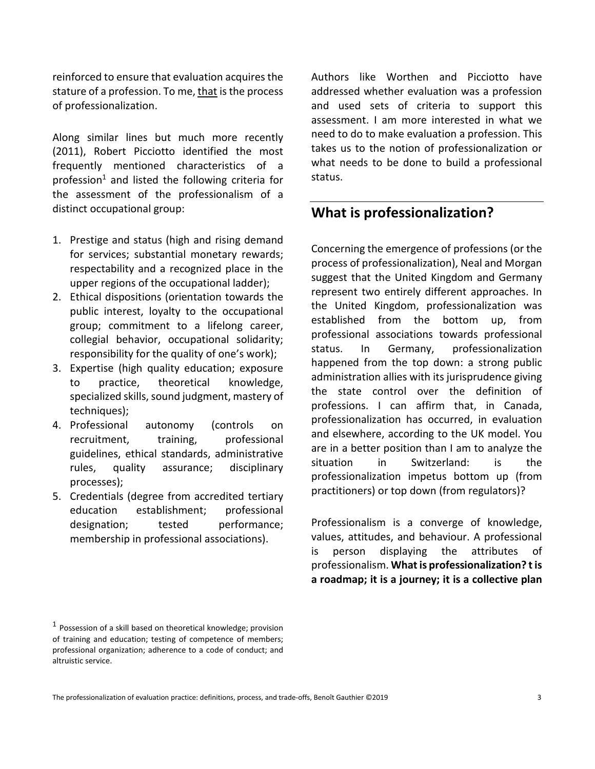reinforced to ensure that evaluation acquires the stature of a profession. To me, that is the process of professionalization.

Along similar lines but much more recently (2011), Robert Picciotto identified the most frequently mentioned characteristics of a profession<sup>1</sup> and listed the following criteria for the assessment of the professionalism of a distinct occupational group:

- 1. Prestige and status (high and rising demand for services; substantial monetary rewards; respectability and a recognized place in the upper regions of the occupational ladder);
- 2. Ethical dispositions (orientation towards the public interest, loyalty to the occupational group; commitment to a lifelong career, collegial behavior, occupational solidarity; responsibility for the quality of one's work);
- 3. Expertise (high quality education; exposure to practice, theoretical knowledge, specialized skills, sound judgment, mastery of techniques);
- 4. Professional autonomy (controls on recruitment, training, professional guidelines, ethical standards, administrative rules, quality assurance; disciplinary processes);
- 5. Credentials (degree from accredited tertiary education establishment; professional designation; tested performance; membership in professional associations).

Authors like Worthen and Picciotto have addressed whether evaluation was a profession and used sets of criteria to support this assessment. I am more interested in what we need to do to make evaluation a profession. This takes us to the notion of professionalization or what needs to be done to build a professional status.

### **What is professionalization?**

Concerning the emergence of professions (or the process of professionalization), Neal and Morgan suggest that the United Kingdom and Germany represent two entirely different approaches. In the United Kingdom, professionalization was established from the bottom up, from professional associations towards professional status. In Germany, professionalization happened from the top down: a strong public administration allies with its jurisprudence giving the state control over the definition of professions. I can affirm that, in Canada, professionalization has occurred, in evaluation and elsewhere, according to the UK model. You are in a better position than I am to analyze the situation in Switzerland: is the professionalization impetus bottom up (from practitioners) or top down (from regulators)?

Professionalism is a converge of knowledge, values, attitudes, and behaviour. A professional is person displaying the attributes professionalism. **Whatis professionalization? tis a roadmap; it is a journey; it is a collective plan** 

 $1$  Possession of a skill based on theoretical knowledge; provision of training and education; testing of competence of members; professional organization; adherence to a code of conduct; and altruistic service.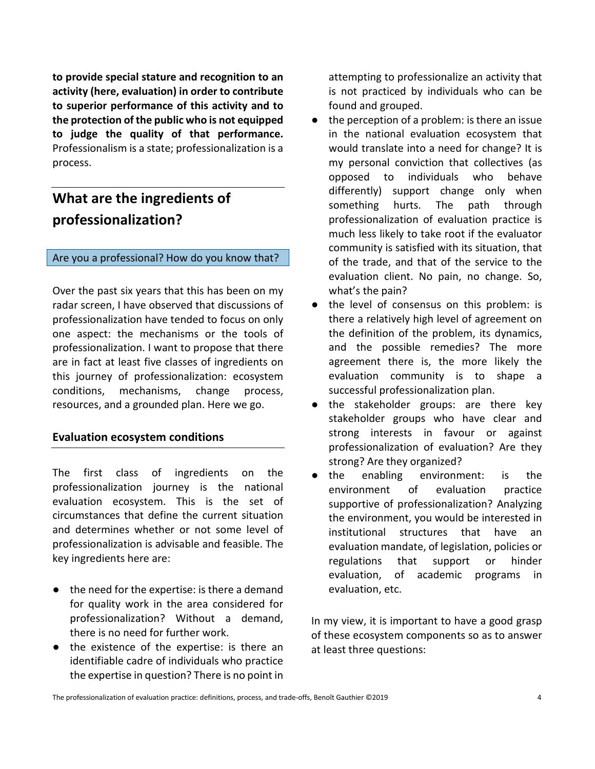**to provide special stature and recognition to an activity (here, evaluation) in order to contribute to superior performance of this activity and to the protection of the public who is not equipped to judge the quality of that performance.** Professionalism is a state; professionalization is a process.

### **What are the ingredients of professionalization?**

#### Are you a professional? How do you know that?

Over the past six years that this has been on my radar screen, I have observed that discussions of professionalization have tended to focus on only one aspect: the mechanisms or the tools of professionalization. I want to propose that there are in fact at least five classes of ingredients on this journey of professionalization: ecosystem conditions, mechanisms, change process, resources, and a grounded plan. Here we go.

#### **Evaluation ecosystem conditions**

The first class of ingredients on the professionalization journey is the national evaluation ecosystem. This is the set of circumstances that define the current situation and determines whether or not some level of professionalization is advisable and feasible. The key ingredients here are:

- the need for the expertise: is there a demand for quality work in the area considered for professionalization? Without a demand, there is no need for further work.
- the existence of the expertise: is there an identifiable cadre of individuals who practice the expertise in question? There is no point in

attempting to professionalize an activity that is not practiced by individuals who can be found and grouped.

- $\bullet$  the perception of a problem: is there an issue in the national evaluation ecosystem that would translate into a need for change? It is my personal conviction that collectives (as opposed to individuals who behave differently) support change only when something hurts. The path through professionalization of evaluation practice is much less likely to take root if the evaluator community is satisfied with its situation, that of the trade, and that of the service to the evaluation client. No pain, no change. So, what's the pain?
- the level of consensus on this problem: is there a relatively high level of agreement on the definition of the problem, its dynamics, and the possible remedies? The more agreement there is, the more likely the evaluation community is to shape a successful professionalization plan.
- the stakeholder groups: are there key stakeholder groups who have clear and strong interests in favour or against professionalization of evaluation? Are they strong? Are they organized?
- the enabling environment: is the environment of evaluation practice supportive of professionalization? Analyzing the environment, you would be interested in institutional structures that have an evaluation mandate, of legislation, policies or regulations that support or hinder evaluation, of academic programs in evaluation, etc.

In my view, it is important to have a good grasp of these ecosystem components so as to answer at least three questions: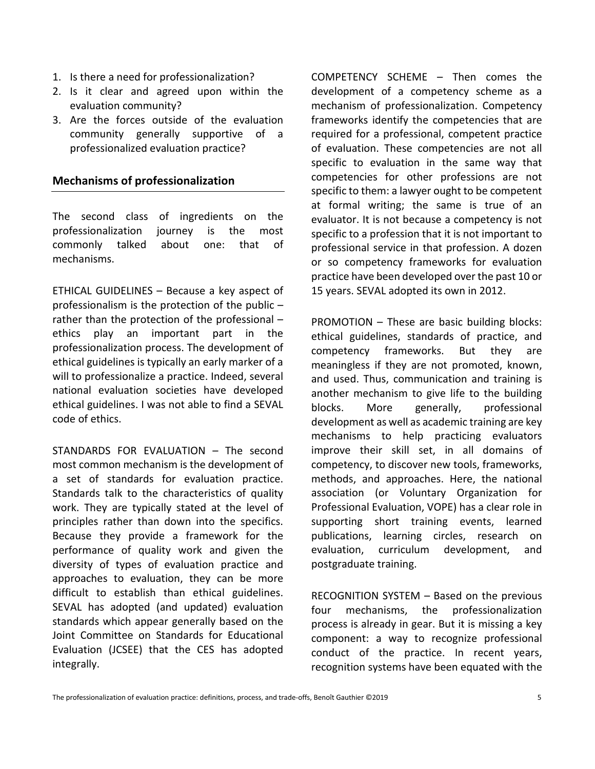- 1. Is there a need for professionalization?
- 2. Is it clear and agreed upon within the evaluation community?
- 3. Are the forces outside of the evaluation community generally supportive of a professionalized evaluation practice?

### **Mechanisms of professionalization**

The second class of ingredients on the professionalization journey is the most commonly talked about one: that of mechanisms.

ETHICAL GUIDELINES – Because a key aspect of professionalism is the protection of the public – rather than the protection of the professional – ethics play an important part in the professionalization process. The development of ethical guidelines is typically an early marker of a will to professionalize a practice. Indeed, several national evaluation societies have developed ethical guidelines. I was not able to find a SEVAL code of ethics.

STANDARDS FOR EVALUATION – The second most common mechanism is the development of a set of standards for evaluation practice. Standards talk to the characteristics of quality work. They are typically stated at the level of principles rather than down into the specifics. Because they provide a framework for the performance of quality work and given the diversity of types of evaluation practice and approaches to evaluation, they can be more difficult to establish than ethical guidelines. SEVAL has adopted (and updated) evaluation standards which appear generally based on the Joint Committee on Standards for Educational Evaluation (JCSEE) that the CES has adopted integrally.

COMPETENCY SCHEME – Then comes the development of a competency scheme as a mechanism of professionalization. Competency frameworks identify the competencies that are required for a professional, competent practice of evaluation. These competencies are not all specific to evaluation in the same way that competencies for other professions are not specific to them: a lawyer ought to be competent at formal writing; the same is true of an evaluator. It is not because a competency is not specific to a profession that it is not important to professional service in that profession. A dozen or so competency frameworks for evaluation practice have been developed over the past 10 or 15 years. SEVAL adopted its own in 2012.

PROMOTION – These are basic building blocks: ethical guidelines, standards of practice, and competency frameworks. But they are meaningless if they are not promoted, known, and used. Thus, communication and training is another mechanism to give life to the building blocks. More generally, professional development as well as academic training are key mechanisms to help practicing evaluators improve their skill set, in all domains of competency, to discover new tools, frameworks, methods, and approaches. Here, the national association (or Voluntary Organization for Professional Evaluation, VOPE) has a clear role in supporting short training events, learned publications, learning circles, research on evaluation, curriculum development, and postgraduate training.

RECOGNITION SYSTEM – Based on the previous four mechanisms, the professionalization process is already in gear. But it is missing a key component: a way to recognize professional conduct of the practice. In recent years, recognition systems have been equated with the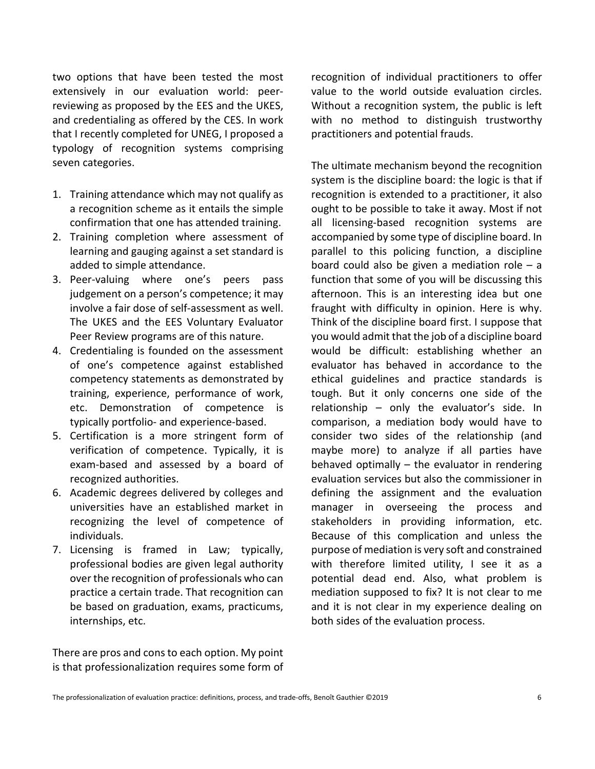two options that have been tested the most extensively in our evaluation world: peerreviewing as proposed by the EES and the UKES, and credentialing as offered by the CES. In work that I recently completed for UNEG, I proposed a typology of recognition systems comprising seven categories.

- 1. Training attendance which may not qualify as a recognition scheme as it entails the simple confirmation that one has attended training.
- 2. Training completion where assessment of learning and gauging against a set standard is added to simple attendance.
- 3. Peer-valuing where one's peers pass judgement on a person's competence; it may involve a fair dose of self-assessment as well. The UKES and the EES Voluntary Evaluator Peer Review programs are of this nature.
- 4. Credentialing is founded on the assessment of one's competence against established competency statements as demonstrated by training, experience, performance of work, etc. Demonstration of competence is typically portfolio- and experience-based.
- 5. Certification is a more stringent form of verification of competence. Typically, it is exam-based and assessed by a board of recognized authorities.
- 6. Academic degrees delivered by colleges and universities have an established market in recognizing the level of competence of individuals.
- 7. Licensing is framed in Law; typically, professional bodies are given legal authority over the recognition of professionals who can practice a certain trade. That recognition can be based on graduation, exams, practicums, internships, etc.

There are pros and cons to each option. My point is that professionalization requires some form of recognition of individual practitioners to offer value to the world outside evaluation circles. Without a recognition system, the public is left with no method to distinguish trustworthy practitioners and potential frauds.

The ultimate mechanism beyond the recognition system is the discipline board: the logic is that if recognition is extended to a practitioner, it also ought to be possible to take it away. Most if not all licensing-based recognition systems are accompanied by some type of discipline board. In parallel to this policing function, a discipline board could also be given a mediation role  $-$  a function that some of you will be discussing this afternoon. This is an interesting idea but one fraught with difficulty in opinion. Here is why. Think of the discipline board first. I suppose that you would admit that the job of a discipline board would be difficult: establishing whether an evaluator has behaved in accordance to the ethical guidelines and practice standards is tough. But it only concerns one side of the relationship – only the evaluator's side. In comparison, a mediation body would have to consider two sides of the relationship (and maybe more) to analyze if all parties have behaved optimally – the evaluator in rendering evaluation services but also the commissioner in defining the assignment and the evaluation manager in overseeing the process and stakeholders in providing information, etc. Because of this complication and unless the purpose of mediation is very soft and constrained with therefore limited utility, I see it as a potential dead end. Also, what problem is mediation supposed to fix? It is not clear to me and it is not clear in my experience dealing on both sides of the evaluation process.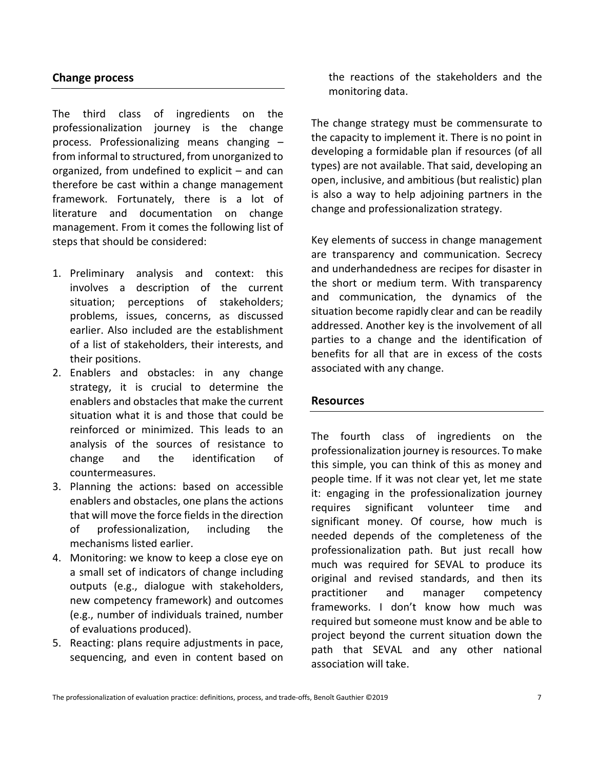### **Change process**

The third class of ingredients on the professionalization journey is the change process. Professionalizing means changing – from informal to structured, from unorganized to organized, from undefined to explicit – and can therefore be cast within a change management framework. Fortunately, there is a lot of literature and documentation on change management. From it comes the following list of steps that should be considered:

- 1. Preliminary analysis and context: this involves a description of the current situation; perceptions of stakeholders; problems, issues, concerns, as discussed earlier. Also included are the establishment of a list of stakeholders, their interests, and their positions.
- 2. Enablers and obstacles: in any change strategy, it is crucial to determine the enablers and obstacles that make the current situation what it is and those that could be reinforced or minimized. This leads to an analysis of the sources of resistance to change and the identification of countermeasures.
- 3. Planning the actions: based on accessible enablers and obstacles, one plans the actions that will move the force fields in the direction of professionalization, including the mechanisms listed earlier.
- 4. Monitoring: we know to keep a close eye on a small set of indicators of change including outputs (e.g., dialogue with stakeholders, new competency framework) and outcomes (e.g., number of individuals trained, number of evaluations produced).
- 5. Reacting: plans require adjustments in pace, sequencing, and even in content based on

the reactions of the stakeholders and the monitoring data.

The change strategy must be commensurate to the capacity to implement it. There is no point in developing a formidable plan if resources (of all types) are not available. That said, developing an open, inclusive, and ambitious (but realistic) plan is also a way to help adjoining partners in the change and professionalization strategy.

Key elements of success in change management are transparency and communication. Secrecy and underhandedness are recipes for disaster in the short or medium term. With transparency and communication, the dynamics of the situation become rapidly clear and can be readily addressed. Another key is the involvement of all parties to a change and the identification of benefits for all that are in excess of the costs associated with any change.

#### **Resources**

The fourth class of ingredients on the professionalization journey is resources. To make this simple, you can think of this as money and people time. If it was not clear yet, let me state it: engaging in the professionalization journey requires significant volunteer time and significant money. Of course, how much is needed depends of the completeness of the professionalization path. But just recall how much was required for SEVAL to produce its original and revised standards, and then its practitioner and manager competency frameworks. I don't know how much was required but someone must know and be able to project beyond the current situation down the path that SEVAL and any other national association will take.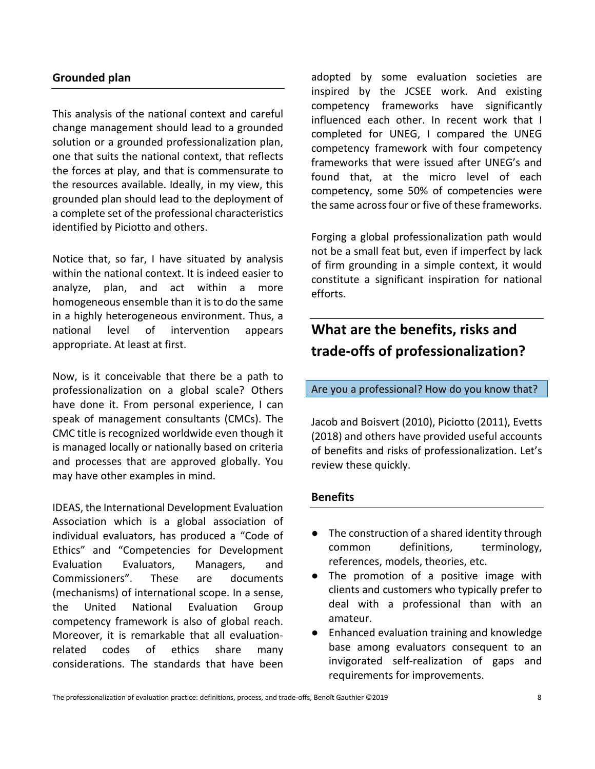### **Grounded plan**

This analysis of the national context and careful change management should lead to a grounded solution or a grounded professionalization plan, one that suits the national context, that reflects the forces at play, and that is commensurate to the resources available. Ideally, in my view, this grounded plan should lead to the deployment of a complete set of the professional characteristics identified by Piciotto and others.

Notice that, so far, I have situated by analysis within the national context. It is indeed easier to analyze, plan, and act within a more homogeneous ensemble than it isto do the same in a highly heterogeneous environment. Thus, a national level of intervention appears appropriate. At least at first.

Now, is it conceivable that there be a path to professionalization on a global scale? Others have done it. From personal experience, I can speak of management consultants (CMCs). The CMC title is recognized worldwide even though it is managed locally or nationally based on criteria and processes that are approved globally. You may have other examples in mind.

IDEAS, the International Development Evaluation Association which is a global association of individual evaluators, has produced a "Code of Ethics" and "Competencies for Development Evaluation Evaluators, Managers, and Commissioners". These are documents (mechanisms) of international scope. In a sense, the United National Evaluation Group competency framework is also of global reach. Moreover, it is remarkable that all evaluationrelated codes of ethics share many considerations. The standards that have been

adopted by some evaluation societies are inspired by the JCSEE work. And existing competency frameworks have significantly influenced each other. In recent work that I completed for UNEG, I compared the UNEG competency framework with four competency frameworks that were issued after UNEG's and found that, at the micro level of each competency, some 50% of competencies were the same acrossfour or five of these frameworks.

Forging a global professionalization path would not be a small feat but, even if imperfect by lack of firm grounding in a simple context, it would constitute a significant inspiration for national efforts.

### **What are the benefits, risks and trade-offs of professionalization?**

#### Are you a professional? How do you know that?

Jacob and Boisvert (2010), Piciotto (2011), Evetts (2018) and others have provided useful accounts of benefits and risks of professionalization. Let's review these quickly.

#### **Benefits**

- The construction of a shared identity through common definitions, terminology, references, models, theories, etc.
- The promotion of a positive image with clients and customers who typically prefer to deal with a professional than with an amateur.
- Enhanced evaluation training and knowledge base among evaluators consequent to an invigorated self-realization of gaps and requirements for improvements.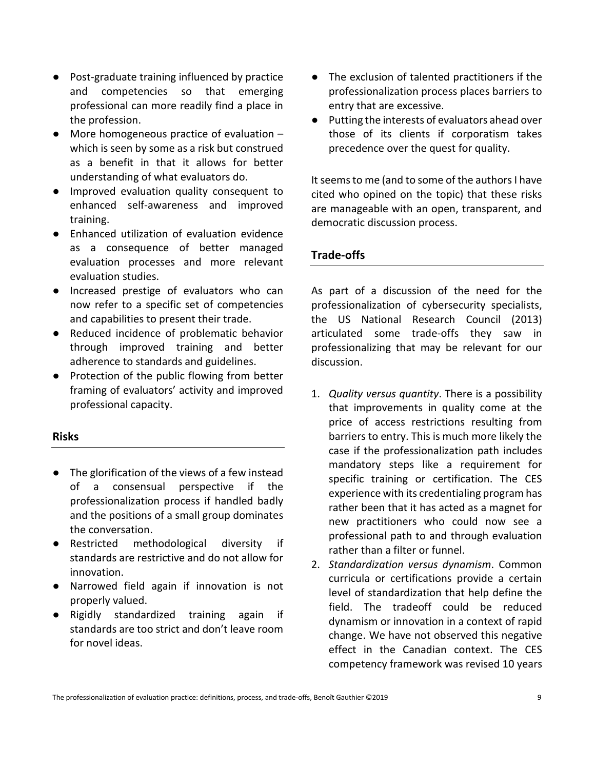- Post-graduate training influenced by practice and competencies so that emerging professional can more readily find a place in the profession.
- More homogeneous practice of evaluation which is seen by some as a risk but construed as a benefit in that it allows for better understanding of what evaluators do.
- Improved evaluation quality consequent to enhanced self-awareness and improved training.
- Enhanced utilization of evaluation evidence as a consequence of better managed evaluation processes and more relevant evaluation studies.
- Increased prestige of evaluators who can now refer to a specific set of competencies and capabilities to present their trade.
- Reduced incidence of problematic behavior through improved training and better adherence to standards and guidelines.
- Protection of the public flowing from better framing of evaluators' activity and improved professional capacity.

### **Risks**

- The glorification of the views of a few instead of a consensual perspective if the professionalization process if handled badly and the positions of a small group dominates the conversation.
- Restricted methodological diversity if standards are restrictive and do not allow for innovation.
- Narrowed field again if innovation is not properly valued.
- Rigidly standardized training again if standards are too strict and don't leave room for novel ideas.
- The exclusion of talented practitioners if the professionalization process places barriers to entry that are excessive.
- Putting the interests of evaluators ahead over those of its clients if corporatism takes precedence over the quest for quality.

It seems to me (and to some of the authors I have cited who opined on the topic) that these risks are manageable with an open, transparent, and democratic discussion process.

### **Trade-offs**

As part of a discussion of the need for the professionalization of cybersecurity specialists, the US National Research Council (2013) articulated some trade-offs they saw in professionalizing that may be relevant for our discussion.

- 1. *Quality versus quantity*. There is a possibility that improvements in quality come at the price of access restrictions resulting from barriers to entry. This is much more likely the case if the professionalization path includes mandatory steps like a requirement for specific training or certification. The CES experience with its credentialing program has rather been that it has acted as a magnet for new practitioners who could now see a professional path to and through evaluation rather than a filter or funnel.
- 2. *Standardization versus dynamism*. Common curricula or certifications provide a certain level of standardization that help define the field. The tradeoff could be reduced dynamism or innovation in a context of rapid change. We have not observed this negative effect in the Canadian context. The CES competency framework was revised 10 years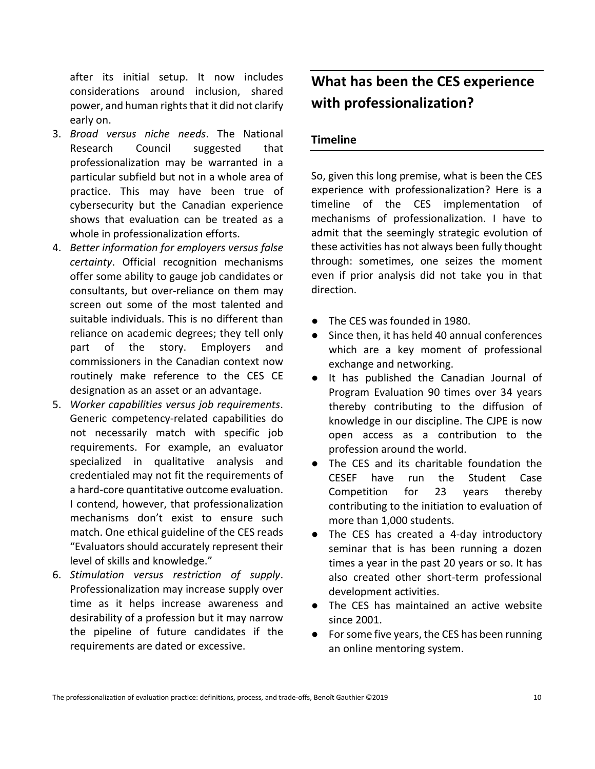after its initial setup. It now includes considerations around inclusion, shared power, and human rights that it did not clarify early on.

- 3. *Broad versus niche needs*. The National Research Council suggested that professionalization may be warranted in a particular subfield but not in a whole area of practice. This may have been true of cybersecurity but the Canadian experience shows that evaluation can be treated as a whole in professionalization efforts.
- 4. *Better information for employers versus false certainty*. Official recognition mechanisms offer some ability to gauge job candidates or consultants, but over-reliance on them may screen out some of the most talented and suitable individuals. This is no different than reliance on academic degrees; they tell only part of the story. Employers and commissioners in the Canadian context now routinely make reference to the CES CE designation as an asset or an advantage.
- 5. *Worker capabilities versus job requirements*. Generic competency-related capabilities do not necessarily match with specific job requirements. For example, an evaluator specialized in qualitative analysis and credentialed may not fit the requirements of a hard-core quantitative outcome evaluation. I contend, however, that professionalization mechanisms don't exist to ensure such match. One ethical guideline of the CES reads "Evaluators should accurately represent their level of skills and knowledge."
- 6. *Stimulation versus restriction of supply*. Professionalization may increase supply over time as it helps increase awareness and desirability of a profession but it may narrow the pipeline of future candidates if the requirements are dated or excessive.

## **What has been the CES experience with professionalization?**

### **Timeline**

So, given this long premise, what is been the CES experience with professionalization? Here is a timeline of the CES implementation of mechanisms of professionalization. I have to admit that the seemingly strategic evolution of these activities has not always been fully thought through: sometimes, one seizes the moment even if prior analysis did not take you in that direction.

- The CES was founded in 1980.
- Since then, it has held 40 annual conferences which are a key moment of professional exchange and networking.
- It has published the Canadian Journal of Program Evaluation 90 times over 34 years thereby contributing to the diffusion of knowledge in our discipline. The CJPE is now open access as a contribution to the profession around the world.
- The CES and its charitable foundation the CESEF have run the Student Case Competition for 23 years thereby contributing to the initiation to evaluation of more than 1,000 students.
- The CES has created a 4-day introductory seminar that is has been running a dozen times a year in the past 20 years or so. It has also created other short-term professional development activities.
- The CES has maintained an active website since 2001.
- For some five years, the CES has been running an online mentoring system.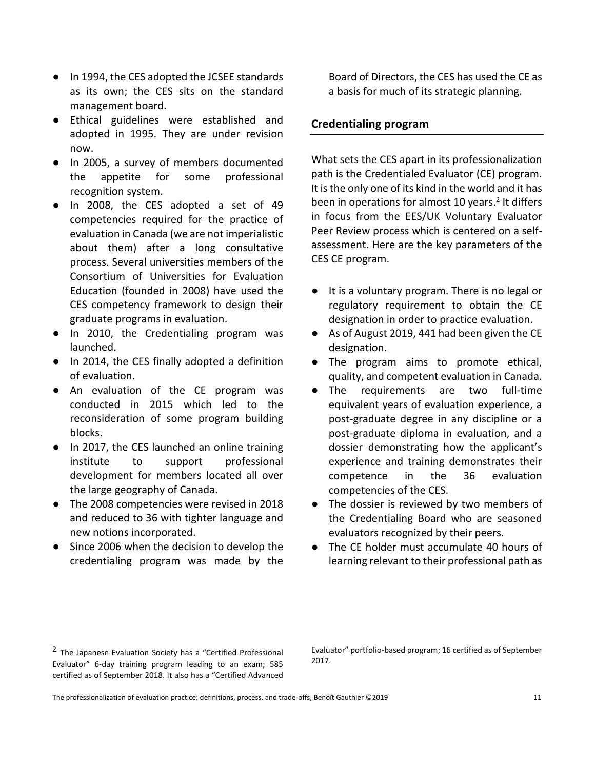- In 1994, the CES adopted the JCSEE standards as its own; the CES sits on the standard management board.
- Ethical guidelines were established and adopted in 1995. They are under revision now.
- In 2005, a survey of members documented the appetite for some professional recognition system.
- In 2008, the CES adopted a set of 49 competencies required for the practice of evaluation in Canada (we are not imperialistic about them) after a long consultative process. Several universities members of the Consortium of Universities for Evaluation Education (founded in 2008) have used the CES competency framework to design their graduate programs in evaluation.
- In 2010, the Credentialing program was launched.
- In 2014, the CES finally adopted a definition of evaluation.
- An evaluation of the CE program was conducted in 2015 which led to the reconsideration of some program building blocks.
- In 2017, the CES launched an online training institute to support professional development for members located all over the large geography of Canada.
- The 2008 competencies were revised in 2018 and reduced to 36 with tighter language and new notions incorporated.
- Since 2006 when the decision to develop the credentialing program was made by the

Board of Directors, the CES has used the CE as a basis for much of its strategic planning.

### **Credentialing program**

What sets the CES apart in its professionalization path is the Credentialed Evaluator (CE) program. It is the only one of its kind in the world and it has been in operations for almost 10 years.<sup>2</sup> It differs in focus from the EES/UK Voluntary Evaluator Peer Review process which is centered on a selfassessment. Here are the key parameters of the CES CE program.

- It is a voluntary program. There is no legal or regulatory requirement to obtain the CE designation in order to practice evaluation.
- As of August 2019, 441 had been given the CE designation.
- The program aims to promote ethical, quality, and competent evaluation in Canada.
- The requirements are two full-time equivalent years of evaluation experience, a post-graduate degree in any discipline or a post-graduate diploma in evaluation, and a dossier demonstrating how the applicant's experience and training demonstrates their competence in the 36 evaluation competencies of the CES.
- The dossier is reviewed by two members of the Credentialing Board who are seasoned evaluators recognized by their peers.
- The CE holder must accumulate 40 hours of learning relevant to their professional path as

 $2$  The Japanese Evaluation Society has a "Certified Professional Evaluator" 6-day training program leading to an exam; 585 certified as of September 2018. It also has a "Certified Advanced

Evaluator" portfolio-based program; 16 certified as of September 2017.

The professionalization of evaluation practice: definitions, process, and trade-offs, Benoît Gauthier ©2019 11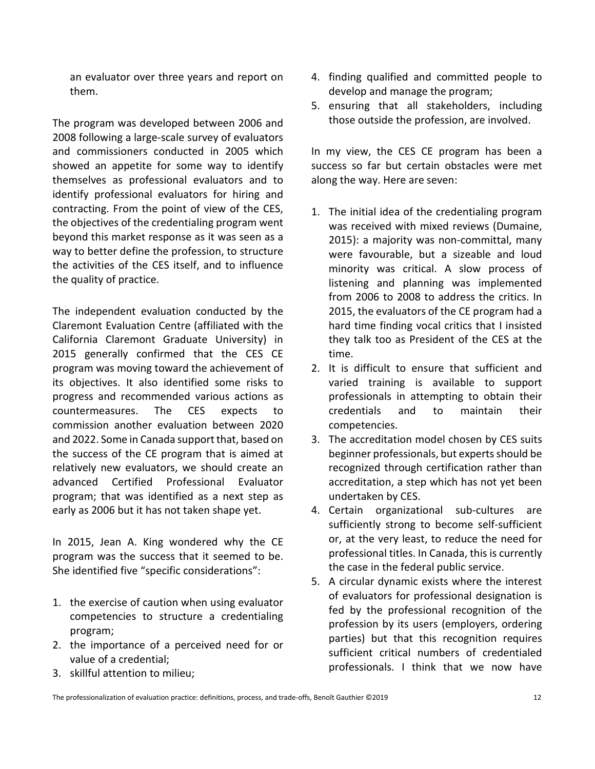an evaluator over three years and report on them.

The program was developed between 2006 and 2008 following a large-scale survey of evaluators and commissioners conducted in 2005 which showed an appetite for some way to identify themselves as professional evaluators and to identify professional evaluators for hiring and contracting. From the point of view of the CES, the objectives of the credentialing program went beyond this market response as it was seen as a way to better define the profession, to structure the activities of the CES itself, and to influence the quality of practice.

The independent evaluation conducted by the Claremont Evaluation Centre (affiliated with the California Claremont Graduate University) in 2015 generally confirmed that the CES CE program was moving toward the achievement of its objectives. It also identified some risks to progress and recommended various actions as countermeasures. The CES expects to commission another evaluation between 2020 and 2022. Some in Canada support that, based on the success of the CE program that is aimed at relatively new evaluators, we should create an advanced Certified Professional Evaluator program; that was identified as a next step as early as 2006 but it has not taken shape yet.

In 2015, Jean A. King wondered why the CE program was the success that it seemed to be. She identified five "specific considerations":

- 1. the exercise of caution when using evaluator competencies to structure a credentialing program;
- 2. the importance of a perceived need for or value of a credential;
- 4. finding qualified and committed people to develop and manage the program;
- 5. ensuring that all stakeholders, including those outside the profession, are involved.

In my view, the CES CE program has been a success so far but certain obstacles were met along the way. Here are seven:

- 1. The initial idea of the credentialing program was received with mixed reviews (Dumaine, 2015): a majority was non-committal, many were favourable, but a sizeable and loud minority was critical. A slow process of listening and planning was implemented from 2006 to 2008 to address the critics. In 2015, the evaluators of the CE program had a hard time finding vocal critics that I insisted they talk too as President of the CES at the time.
- 2. It is difficult to ensure that sufficient and varied training is available to support professionals in attempting to obtain their credentials and to maintain their competencies.
- 3. The accreditation model chosen by CES suits beginner professionals, but experts should be recognized through certification rather than accreditation, a step which has not yet been undertaken by CES.
- 4. Certain organizational sub-cultures are sufficiently strong to become self-sufficient or, at the very least, to reduce the need for professional titles. In Canada, this is currently the case in the federal public service.
- 5. A circular dynamic exists where the interest of evaluators for professional designation is fed by the professional recognition of the profession by its users (employers, ordering parties) but that this recognition requires sufficient critical numbers of credentialed professionals. I think that we now have

3. skillful attention to milieu;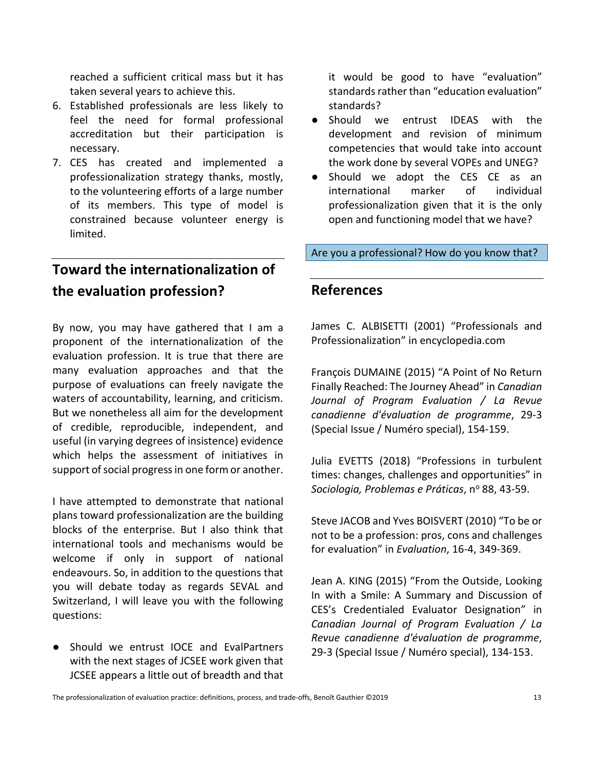reached a sufficient critical mass but it has taken several years to achieve this.

- 6. Established professionals are less likely to feel the need for formal professional accreditation but their participation is necessary.
- 7. CES has created and implemented a professionalization strategy thanks, mostly, to the volunteering efforts of a large number of its members. This type of model is constrained because volunteer energy is limited.

### **Toward the internationalization of the evaluation profession?**

By now, you may have gathered that I am a proponent of the internationalization of the evaluation profession. It is true that there are many evaluation approaches and that the purpose of evaluations can freely navigate the waters of accountability, learning, and criticism. But we nonetheless all aim for the development of credible, reproducible, independent, and useful (in varying degrees of insistence) evidence which helps the assessment of initiatives in support of social progress in one form or another.

I have attempted to demonstrate that national plans toward professionalization are the building blocks of the enterprise. But I also think that international tools and mechanisms would be welcome if only in support of national endeavours. So, in addition to the questions that you will debate today as regards SEVAL and Switzerland, I will leave you with the following questions:

Should we entrust IOCE and EvalPartners with the next stages of JCSEE work given that JCSEE appears a little out of breadth and that it would be good to have "evaluation" standards rather than "education evaluation" standards?

- Should we entrust IDEAS with the development and revision of minimum competencies that would take into account the work done by several VOPEs and UNEG?
- Should we adopt the CES CE as an international marker of individual professionalization given that it is the only open and functioning model that we have?

Are you a professional? How do you know that?

### **References**

James C. ALBISETTI (2001) "Professionals and Professionalization" in encyclopedia.com

François DUMAINE (2015) "A Point of No Return Finally Reached: The Journey Ahead" in *Canadian Journal of Program Evaluation / La Revue canadienne d'évaluation de programme*, 29-3 (Special Issue / Numéro special), 154-159.

Julia EVETTS (2018) "Professions in turbulent times: changes, challenges and opportunities" in *Sociologia, Problemas e Práticas*, n<sup>o</sup> 88, 43-59.

Steve JACOB and Yves BOISVERT (2010) "To be or not to be a profession: pros, cons and challenges for evaluation" in *Evaluation*, 16-4, 349-369.

Jean A. KING (2015) "From the Outside, Looking In with a Smile: A Summary and Discussion of CES's Credentialed Evaluator Designation" in *Canadian Journal of Program Evaluation / La Revue canadienne d'évaluation de programme*, 29-3 (Special Issue / Numéro special), 134-153.